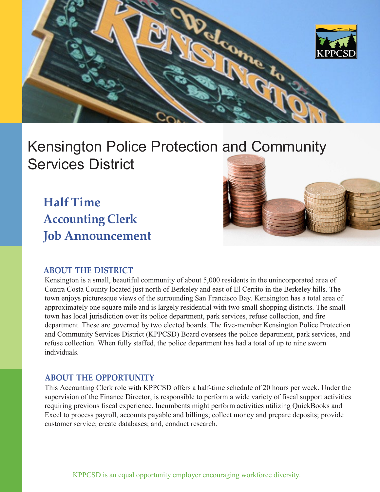

# Kensington Police Protection and Community Services District

**Half Time Accounting Clerk Job Announcement**



## **ABOUT THE DISTRICT**

Kensington is a small, beautiful community of about 5,000 residents in the unincorporated area of Contra Costa County located just north of Berkeley and east of El Cerrito in the Berkeley hills. The town enjoys picturesque views of the surrounding San Francisco Bay. Kensington has a total area of approximately one square mile and is largely residential with two small shopping districts. The small town has local jurisdiction over its police department, park services, refuse collection, and fire department. These are governed by two elected boards. The five-member Kensington Police Protection and Community Services District (KPPCSD) Board oversees the police department, park services, and refuse collection. When fully staffed, the police department has had a total of up to nine sworn individuals.

#### **ABOUT THE OPPORTUNITY**

This Accounting Clerk role with KPPCSD offers a half-time schedule of 20 hours per week. Under the supervision of the Finance Director, is responsible to perform a wide variety of fiscal support activities requiring previous fiscal experience. Incumbents might perform activities utilizing QuickBooks and Excel to process payroll, accounts payable and billings; collect money and prepare deposits; provide customer service; create databases; and, conduct research.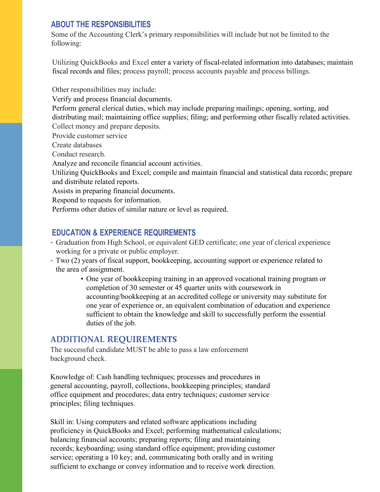#### **ABOUT THE RESPONSIBILITIES**

Some of the Accounting Clerk's primary responsibilities will include but not be limited to the following:

Utilizing QuickBooks and Excel enter a variety of fiscal-related information into databases; maintain fiscal records and files; process payroll; process accounts payable and process billings.

Other responsibilities may include:

Verify and process financial documents.

Perform general clerical duties, which may include preparing mailings; opening, sorting, and distributing mail; maintaining office supplies; filing; and performing other fiscally related activities. Collect money and prepare deposits.

Provide customer service

Create databases

Conduct research.

Analyze and reconcile financial account activities.

Utilizing QuickBooks and Excel; compile and maintain financial and statistical data records; prepare and distribute related reports.

Assists in preparing financial documents.

Respond to requests for information.

Performs other duties of similar nature or level as required.

# **EDUCATION & EXPERIENCE REQUIREMENTS**

- Graduation from High School, or equivalent GED certificate; one year of clerical experience working for a private or public employer.
- Two (2) years of fiscal support, bookkeeping, accounting support or experience related to the area of assignment.
	- One year of bookkeeping training in an approved vocational training program or completion of 30 semester or 45 quarter units with coursework in accounting/bookkeeping at an accredited college or university may substitute for one year of experience or, an equivalent combination of education and experience sufficient to obtain the knowledge and skill to successfully perform the essential duties of the job.

# **ADDITIONAL REQUIREMENTS**

The successful candidate MUST be able to pass a law enforcement background check.

Knowledge of: Cash handling techniques; processes and procedures in general accounting, payroll, collections, bookkeeping principles; standard office equipment and procedures; data entry techniques; customer service principles; filing techniques.

Skill in: Using computers and related software applications including proficiency in QuickBooks and Excel; performing mathematical calculations; balancing financial accounts; preparing reports; filing and maintaining records; keyboarding; using standard office equipment; providing customer service; operating a 10 key; and, communicating both orally and in writing sufficient to exchange or convey information and to receive work direction.